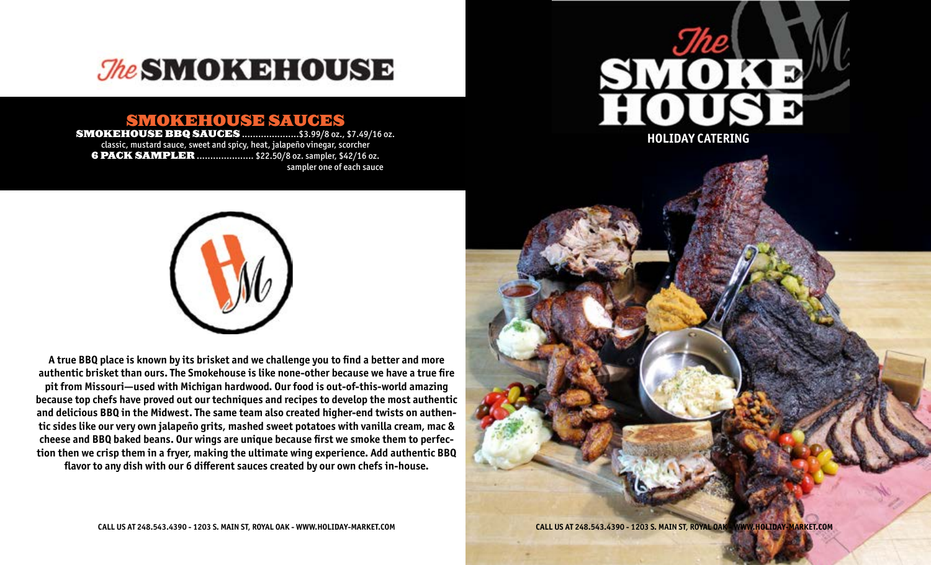

# SMOKEHOUSE SAUCES

SMOKEHOUSE BBQ SAUCES .....................\$3.99/8 oz., \$7.49/16 oz. classic, mustard sauce, sweet and spicy, heat, jalapeño vinegar, scorcher **6 PACK SAMPLER ....................** \$22.50/8 oz. sampler, \$42/16 oz. sampler one of each sauce



**A true BBQ place is known by its brisket and we challenge you to find a better and more authentic brisket than ours. The Smokehouse is like none-other because we have a true fire pit from Missouri—used with Michigan hardwood. Our food is out-of-this-world amazing because top chefs have proved out our techniques and recipes to develop the most authentic and delicious BBQ in the Midwest. The same team also created higher-end twists on authentic sides like our very own jalapeño grits, mashed sweet potatoes with vanilla cream, mac & cheese and BBQ baked beans. Our wings are unique because first we smoke them to perfection then we crisp them in a fryer, making the ultimate wing experience. Add authentic BBQ flavor to any dish with our 6 different sauces created by our own chefs in-house.**



**CALL US AT 248.543.4390 - 1203 S. MAIN ST, ROYAL OAK - WWW.HOLIDAY-MARKET.COM**